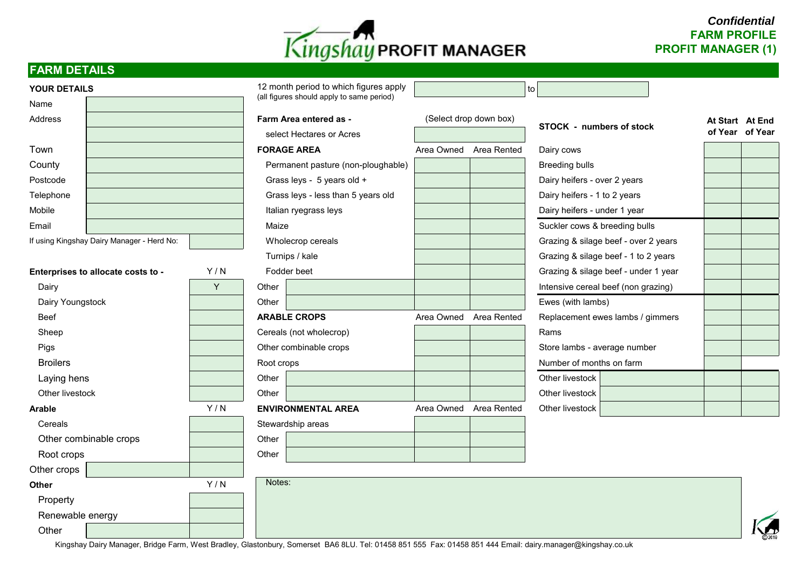

# *Confidential* **FARM PROFILE PROFIT MANAGER (1)**

### **FARM DETAILS**

| (all figures should apply to same period)<br>Name<br>Address<br>(Select drop down box)<br>Farm Area entered as -<br>At Start At End<br><b>STOCK - numbers of stock</b><br>of Year of Year<br>select Hectares or Acres<br><b>FORAGE AREA</b><br>Area Owned Area Rented<br>Town<br>Dairy cows<br>County<br>Permanent pasture (non-ploughable)<br><b>Breeding bulls</b><br>Grass leys - 5 years old +<br>Postcode<br>Dairy heifers - over 2 years<br>Grass leys - less than 5 years old<br>Dairy heifers - 1 to 2 years<br>Telephone<br>Mobile<br>Italian ryegrass leys<br>Dairy heifers - under 1 year<br>Email<br>Suckler cows & breeding bulls<br>Maize<br>If using Kingshay Dairy Manager - Herd No:<br>Wholecrop cereals<br>Grazing & silage beef - over 2 years<br>Turnips / kale<br>Grazing & silage beef - 1 to 2 years |  |  |
|------------------------------------------------------------------------------------------------------------------------------------------------------------------------------------------------------------------------------------------------------------------------------------------------------------------------------------------------------------------------------------------------------------------------------------------------------------------------------------------------------------------------------------------------------------------------------------------------------------------------------------------------------------------------------------------------------------------------------------------------------------------------------------------------------------------------------|--|--|
|                                                                                                                                                                                                                                                                                                                                                                                                                                                                                                                                                                                                                                                                                                                                                                                                                              |  |  |
|                                                                                                                                                                                                                                                                                                                                                                                                                                                                                                                                                                                                                                                                                                                                                                                                                              |  |  |
|                                                                                                                                                                                                                                                                                                                                                                                                                                                                                                                                                                                                                                                                                                                                                                                                                              |  |  |
|                                                                                                                                                                                                                                                                                                                                                                                                                                                                                                                                                                                                                                                                                                                                                                                                                              |  |  |
|                                                                                                                                                                                                                                                                                                                                                                                                                                                                                                                                                                                                                                                                                                                                                                                                                              |  |  |
|                                                                                                                                                                                                                                                                                                                                                                                                                                                                                                                                                                                                                                                                                                                                                                                                                              |  |  |
|                                                                                                                                                                                                                                                                                                                                                                                                                                                                                                                                                                                                                                                                                                                                                                                                                              |  |  |
|                                                                                                                                                                                                                                                                                                                                                                                                                                                                                                                                                                                                                                                                                                                                                                                                                              |  |  |
|                                                                                                                                                                                                                                                                                                                                                                                                                                                                                                                                                                                                                                                                                                                                                                                                                              |  |  |
|                                                                                                                                                                                                                                                                                                                                                                                                                                                                                                                                                                                                                                                                                                                                                                                                                              |  |  |
|                                                                                                                                                                                                                                                                                                                                                                                                                                                                                                                                                                                                                                                                                                                                                                                                                              |  |  |
| Enterprises to allocate costs to -<br>Y/N<br>Fodder beet<br>Grazing & silage beef - under 1 year                                                                                                                                                                                                                                                                                                                                                                                                                                                                                                                                                                                                                                                                                                                             |  |  |
| Y<br>Other<br>Intensive cereal beef (non grazing)<br>Dairy                                                                                                                                                                                                                                                                                                                                                                                                                                                                                                                                                                                                                                                                                                                                                                   |  |  |
| Dairy Youngstock<br>Ewes (with lambs)<br>Other                                                                                                                                                                                                                                                                                                                                                                                                                                                                                                                                                                                                                                                                                                                                                                               |  |  |
| <b>ARABLE CROPS</b><br><b>Beef</b><br>Area Owned<br>Area Rented<br>Replacement ewes lambs / gimmers                                                                                                                                                                                                                                                                                                                                                                                                                                                                                                                                                                                                                                                                                                                          |  |  |
| Rams<br>Sheep<br>Cereals (not wholecrop)                                                                                                                                                                                                                                                                                                                                                                                                                                                                                                                                                                                                                                                                                                                                                                                     |  |  |
| Other combinable crops<br>Pigs<br>Store lambs - average number                                                                                                                                                                                                                                                                                                                                                                                                                                                                                                                                                                                                                                                                                                                                                               |  |  |
| <b>Broilers</b><br>Number of months on farm<br>Root crops                                                                                                                                                                                                                                                                                                                                                                                                                                                                                                                                                                                                                                                                                                                                                                    |  |  |
| Other<br>Laying hens<br>Other livestock                                                                                                                                                                                                                                                                                                                                                                                                                                                                                                                                                                                                                                                                                                                                                                                      |  |  |
| Other livestock<br>Other<br>Other livestock                                                                                                                                                                                                                                                                                                                                                                                                                                                                                                                                                                                                                                                                                                                                                                                  |  |  |
| Y/N<br><b>ENVIRONMENTAL AREA</b><br>Area Owned Area Rented<br>Other livestock<br><b>Arable</b>                                                                                                                                                                                                                                                                                                                                                                                                                                                                                                                                                                                                                                                                                                                               |  |  |
| Stewardship areas<br>Cereals                                                                                                                                                                                                                                                                                                                                                                                                                                                                                                                                                                                                                                                                                                                                                                                                 |  |  |
| Other<br>Other combinable crops                                                                                                                                                                                                                                                                                                                                                                                                                                                                                                                                                                                                                                                                                                                                                                                              |  |  |
| Other<br>Root crops                                                                                                                                                                                                                                                                                                                                                                                                                                                                                                                                                                                                                                                                                                                                                                                                          |  |  |
| Other crops                                                                                                                                                                                                                                                                                                                                                                                                                                                                                                                                                                                                                                                                                                                                                                                                                  |  |  |
| Notes:<br>Y/N<br><b>Other</b>                                                                                                                                                                                                                                                                                                                                                                                                                                                                                                                                                                                                                                                                                                                                                                                                |  |  |
| Property                                                                                                                                                                                                                                                                                                                                                                                                                                                                                                                                                                                                                                                                                                                                                                                                                     |  |  |
| Renewable energy                                                                                                                                                                                                                                                                                                                                                                                                                                                                                                                                                                                                                                                                                                                                                                                                             |  |  |
| Other                                                                                                                                                                                                                                                                                                                                                                                                                                                                                                                                                                                                                                                                                                                                                                                                                        |  |  |

Kingshay Dairy Manager, Bridge Farm, West Bradley, Glastonbury, Somerset BA6 8LU. Tel: 01458 851 555 Fax: 01458 851 444 Email: dairy.manager@kingshay.co.uk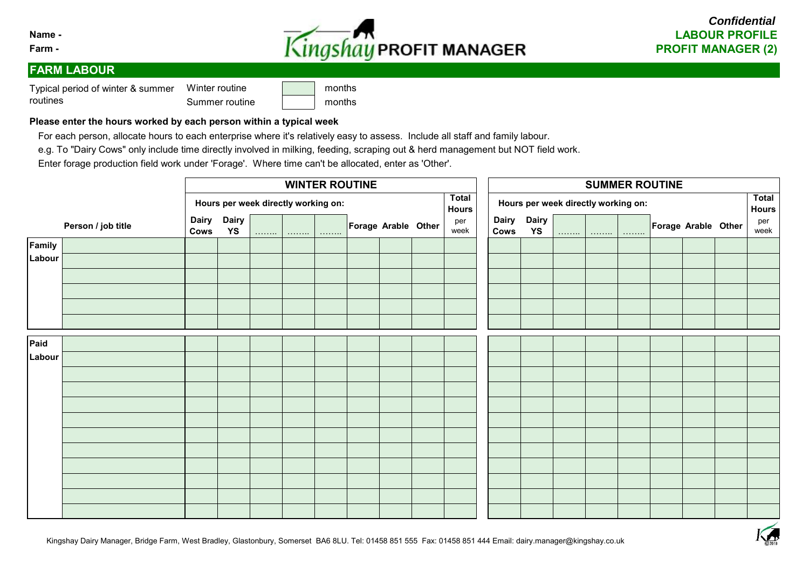



### **FARM LABOUR**

Winter routine **No. 1** months Typical period of winter & summer routines

| <u>WILLEL TOULING</u> | 111011U15 |
|-----------------------|-----------|
| Summer routine        | months    |

#### **Please enter the hours worked by each person within a typical week**

For each person, allocate hours to each enterprise where it's relatively easy to assess. Include all staff and family labour.

e.g. To "Dairy Cows" only include time directly involved in milking, feeding, scraping out & herd management but NOT field work.

Enter forage production field work under 'Forage'. Where time can't be allocated, enter as 'Other'.

|        |                    |      |                                     |   |               |               | <b>WINTER ROUTINE</b> |                     |  | <b>SUMMER ROUTINE</b><br><b>Total</b> |                                     |                          |   |   |               |                     |  |  |                             |
|--------|--------------------|------|-------------------------------------|---|---------------|---------------|-----------------------|---------------------|--|---------------------------------------|-------------------------------------|--------------------------|---|---|---------------|---------------------|--|--|-----------------------------|
|        |                    |      | Hours per week directly working on: |   |               |               |                       |                     |  | <b>Total</b><br><b>Hours</b>          | Hours per week directly working on: |                          |   |   |               |                     |  |  |                             |
|        | Person / job title | Cows | Dairy Dairy<br>YS                   | . | 1.1.1.1.1.1.1 | 1.1.1.1.1.1.1 |                       | Forage Arable Other |  | per<br>week                           | Cows                                | Dairy Dairy<br><b>YS</b> | . | . | 1.1.1.1.1.1.1 | Forage Arable Other |  |  | <b>Hours</b><br>per<br>week |
| Family |                    |      |                                     |   |               |               |                       |                     |  |                                       |                                     |                          |   |   |               |                     |  |  |                             |
| Labour |                    |      |                                     |   |               |               |                       |                     |  |                                       |                                     |                          |   |   |               |                     |  |  |                             |
|        |                    |      |                                     |   |               |               |                       |                     |  |                                       |                                     |                          |   |   |               |                     |  |  |                             |
|        |                    |      |                                     |   |               |               |                       |                     |  |                                       |                                     |                          |   |   |               |                     |  |  |                             |
|        |                    |      |                                     |   |               |               |                       |                     |  |                                       |                                     |                          |   |   |               |                     |  |  |                             |
|        |                    |      |                                     |   |               |               |                       |                     |  |                                       |                                     |                          |   |   |               |                     |  |  |                             |
| Paid   |                    |      |                                     |   |               |               |                       |                     |  |                                       |                                     |                          |   |   |               |                     |  |  |                             |
| Labour |                    |      |                                     |   |               |               |                       |                     |  |                                       |                                     |                          |   |   |               |                     |  |  |                             |
|        |                    |      |                                     |   |               |               |                       |                     |  |                                       |                                     |                          |   |   |               |                     |  |  |                             |
|        |                    |      |                                     |   |               |               |                       |                     |  |                                       |                                     |                          |   |   |               |                     |  |  |                             |
|        |                    |      |                                     |   |               |               |                       |                     |  |                                       |                                     |                          |   |   |               |                     |  |  |                             |
|        |                    |      |                                     |   |               |               |                       |                     |  |                                       |                                     |                          |   |   |               |                     |  |  |                             |
|        |                    |      |                                     |   |               |               |                       |                     |  |                                       |                                     |                          |   |   |               |                     |  |  |                             |
|        |                    |      |                                     |   |               |               |                       |                     |  |                                       |                                     |                          |   |   |               |                     |  |  |                             |
|        |                    |      |                                     |   |               |               |                       |                     |  |                                       |                                     |                          |   |   |               |                     |  |  |                             |
|        |                    |      |                                     |   |               |               |                       |                     |  |                                       |                                     |                          |   |   |               |                     |  |  |                             |
|        |                    |      |                                     |   |               |               |                       |                     |  |                                       |                                     |                          |   |   |               |                     |  |  |                             |
|        |                    |      |                                     |   |               |               |                       |                     |  |                                       |                                     |                          |   |   |               |                     |  |  |                             |

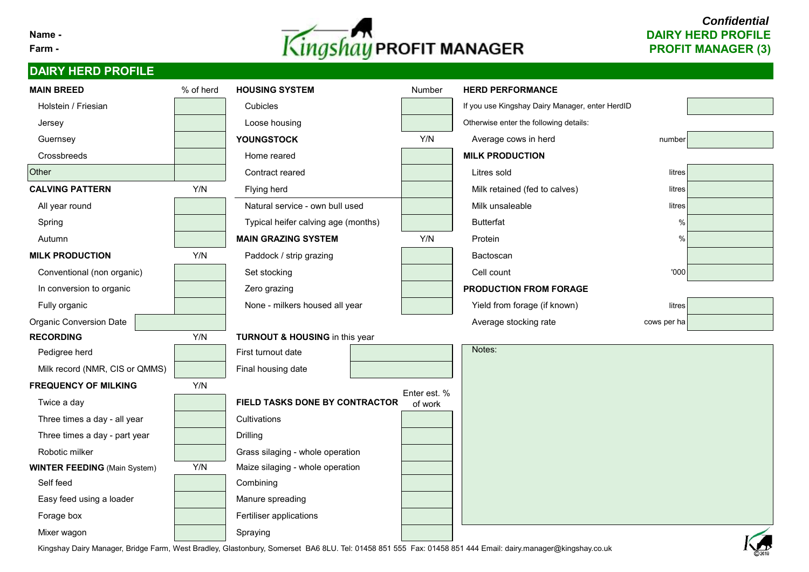

# *Confidential*

# **DAIRY HERD PROFILE**

| <b>MAIN BREED</b>                   | % of herd | <b>HOUSING SYSTEM</b>                     | Number       | <b>HERD PERFORMANCE</b>                         |             |            |  |  |  |  |  |
|-------------------------------------|-----------|-------------------------------------------|--------------|-------------------------------------------------|-------------|------------|--|--|--|--|--|
| Holstein / Friesian                 |           | Cubicles                                  |              | If you use Kingshay Dairy Manager, enter HerdID |             |            |  |  |  |  |  |
| Jersey                              |           | Loose housing                             |              | Otherwise enter the following details:          |             |            |  |  |  |  |  |
| Guernsey                            |           | <b>YOUNGSTOCK</b>                         | Y/N          | Average cows in herd                            | number      |            |  |  |  |  |  |
| Crossbreeds                         |           | Home reared                               |              | <b>MILK PRODUCTION</b>                          |             |            |  |  |  |  |  |
| Other                               |           | Contract reared                           |              | Litres sold                                     | litres      |            |  |  |  |  |  |
| <b>CALVING PATTERN</b>              | Y/N       | Flying herd                               |              | Milk retained (fed to calves)                   | litres      |            |  |  |  |  |  |
| All year round                      |           | Natural service - own bull used           |              | Milk unsaleable                                 | litres      |            |  |  |  |  |  |
| Spring                              |           | Typical heifer calving age (months)       |              | <b>Butterfat</b>                                | %           |            |  |  |  |  |  |
| Autumn                              |           | <b>MAIN GRAZING SYSTEM</b>                | Y/N          | Protein                                         | $\%$        |            |  |  |  |  |  |
| <b>MILK PRODUCTION</b>              | Y/N       | Paddock / strip grazing                   |              | Bactoscan                                       |             |            |  |  |  |  |  |
| Conventional (non organic)          |           | Set stocking                              |              | Cell count                                      | '000        |            |  |  |  |  |  |
| In conversion to organic            |           | Zero grazing                              |              | PRODUCTION FROM FORAGE                          |             |            |  |  |  |  |  |
| Fully organic                       |           | None - milkers housed all year            |              | Yield from forage (if known)                    | litres      |            |  |  |  |  |  |
| <b>Organic Conversion Date</b>      |           |                                           |              | Average stocking rate                           | cows per ha |            |  |  |  |  |  |
| <b>RECORDING</b>                    | Y/N       | <b>TURNOUT &amp; HOUSING in this year</b> |              |                                                 |             |            |  |  |  |  |  |
| Pedigree herd                       |           | First turnout date                        |              | Notes:                                          |             |            |  |  |  |  |  |
| Milk record (NMR, CIS or QMMS)      |           | Final housing date                        |              |                                                 |             |            |  |  |  |  |  |
| <b>FREQUENCY OF MILKING</b>         | Y/N       |                                           | Enter est. % |                                                 |             |            |  |  |  |  |  |
| Twice a day                         |           | FIELD TASKS DONE BY CONTRACTOR            | of work      |                                                 |             |            |  |  |  |  |  |
| Three times a day - all year        |           | Cultivations                              |              |                                                 |             |            |  |  |  |  |  |
| Three times a day - part year       |           | <b>Drilling</b>                           |              |                                                 |             |            |  |  |  |  |  |
| Robotic milker                      |           | Grass silaging - whole operation          |              |                                                 |             |            |  |  |  |  |  |
| <b>WINTER FEEDING (Main System)</b> | Y/N       | Maize silaging - whole operation          |              |                                                 |             |            |  |  |  |  |  |
| Self feed                           |           | Combining                                 |              |                                                 |             |            |  |  |  |  |  |
| Easy feed using a loader            |           | Manure spreading                          |              |                                                 |             |            |  |  |  |  |  |
| Forage box                          |           | Fertiliser applications                   |              |                                                 |             |            |  |  |  |  |  |
| Mixer wagon                         |           | Spraying                                  |              |                                                 |             | $\sqrt{2}$ |  |  |  |  |  |

Kingshay Dairy Manager, Bridge Farm, West Bradley, Glastonbury, Somerset BA6 8LU. Tel: 01458 851 555 Fax: 01458 851 444 Email: dairy.manager@kingshay.co.uk

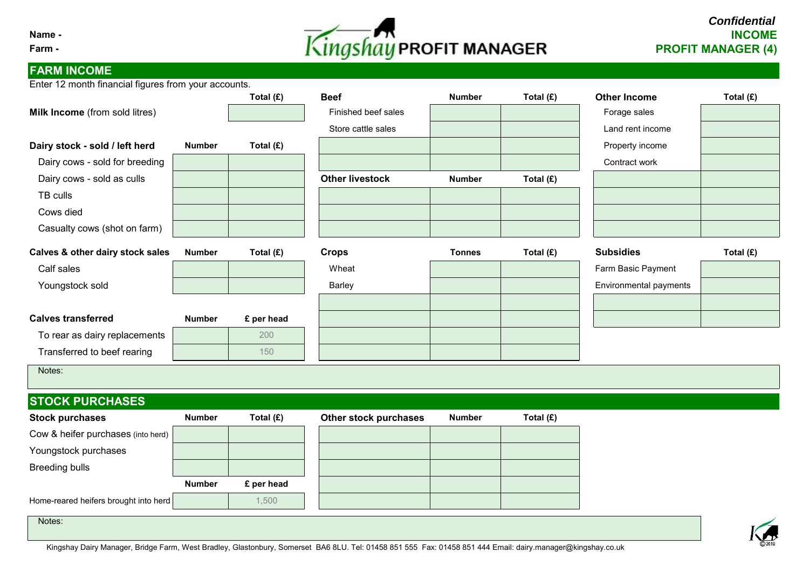# **Name - INCOME Farm - PROFIT MANAGER (4)**

# **FARM INCOME**

Enter 12 month financial figures from your accounts.

|                                                                                                                                                               |               | Total (£)  | <b>Beef</b>            | <b>Number</b> | Total (£) | <b>Other Income</b>        | Total (£) |
|---------------------------------------------------------------------------------------------------------------------------------------------------------------|---------------|------------|------------------------|---------------|-----------|----------------------------|-----------|
| Milk Income (from sold litres)                                                                                                                                |               |            | Finished beef sales    |               |           | Forage sales               |           |
|                                                                                                                                                               |               |            | Store cattle sales     |               |           | Land rent income           |           |
| Dairy stock - sold / left herd                                                                                                                                | <b>Number</b> | Total (£)  |                        |               |           | Property income            |           |
| Dairy cows - sold for breeding                                                                                                                                |               |            |                        |               |           | Contract work              |           |
| Dairy cows - sold as culls                                                                                                                                    |               |            | <b>Other livestock</b> | <b>Number</b> | Total (£) |                            |           |
| TB culls                                                                                                                                                      |               |            |                        |               |           |                            |           |
| Cows died                                                                                                                                                     |               |            |                        |               |           |                            |           |
| Casualty cows (shot on farm)                                                                                                                                  |               |            |                        |               |           |                            |           |
| Calves & other dairy stock sales                                                                                                                              | <b>Number</b> | Total (£)  | <b>Crops</b>           | <b>Tonnes</b> | Total (£) | <b>Subsidies</b>           | Total (£) |
| Calf sales                                                                                                                                                    |               |            | Wheat                  |               |           | Farm Basic Payment         |           |
| Youngstock sold                                                                                                                                               |               |            | Barley                 |               |           | Environmental payments     |           |
|                                                                                                                                                               |               |            |                        |               |           |                            |           |
| <b>Calves transferred</b>                                                                                                                                     | <b>Number</b> | £ per head |                        |               |           |                            |           |
| To rear as dairy replacements                                                                                                                                 |               | 200        |                        |               |           |                            |           |
| Transferred to beef rearing                                                                                                                                   |               | 150        |                        |               |           |                            |           |
| Notes:                                                                                                                                                        |               |            |                        |               |           |                            |           |
| <b>STOCK PURCHASES</b>                                                                                                                                        |               |            |                        |               |           |                            |           |
| <b>Stock purchases</b>                                                                                                                                        | <b>Number</b> | Total (£)  | Other stock purchases  | <b>Number</b> | Total (£) |                            |           |
| Cow & heifer purchases (into herd)                                                                                                                            |               |            |                        |               |           |                            |           |
| Youngstock purchases                                                                                                                                          |               |            |                        |               |           |                            |           |
| <b>Breeding bulls</b>                                                                                                                                         |               |            |                        |               |           |                            |           |
|                                                                                                                                                               | <b>Number</b> | £ per head |                        |               |           |                            |           |
| Home-reared heifers brought into herd                                                                                                                         |               | 1,500      |                        |               |           |                            |           |
| Notes:<br>$\overline{a}$ and $\overline{a}$ are $\overline{a}$ and $\overline{a}$ and $\overline{a}$ and $\overline{a}$ and $\overline{a}$ and $\overline{a}$ |               |            |                        |               |           | $\sim \cdot \cdot$ $\cdot$ |           |

Kingshay Dairy Manager, Bridge Farm, West Bradley, Glastonbury, Somerset BA6 8LU. Tel: 01458 851 555 Fax: 01458 851 444 Email: dairy.manager@kingshay.co.uk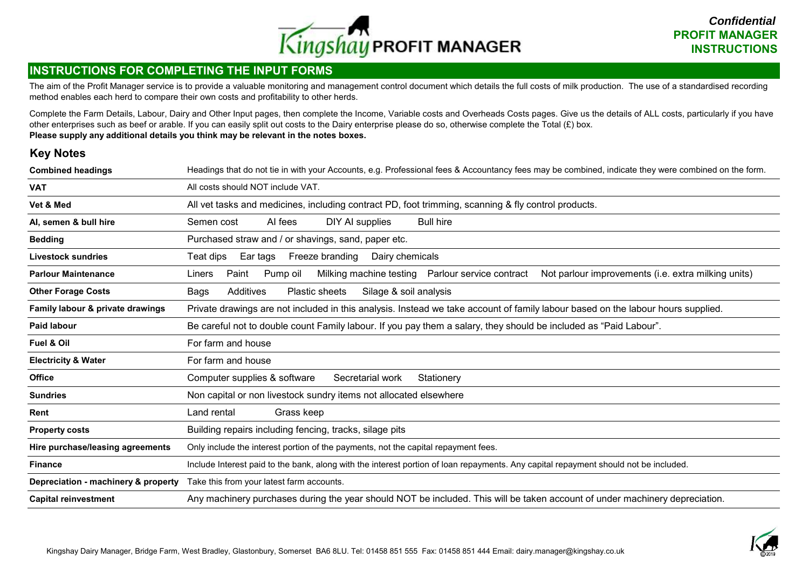

### **INSTRUCTIONS FOR COMPLETING THE INPUT FORMS**

The aim of the Profit Manager service is to provide a valuable monitoring and management control document which details the full costs of milk production. The use of a standardised recording method enables each herd to compare their own costs and profitability to other herds.

Complete the Farm Details, Labour, Dairy and Other Input pages, then complete the Income, Variable costs and Overheads Costs pages. Give us the details of ALL costs, particularly if you have other enterprises such as beef or arable. If you can easily split out costs to the Dairy enterprise please do so, otherwise complete the Total  $(E)$  box. **Please supply any additional details you think may be relevant in the notes boxes.**

### **Key Notes**

| <b>Combined headings</b>            | Headings that do not tie in with your Accounts, e.g. Professional fees & Accountancy fees may be combined, indicate they were combined on the form. |  |  |  |  |  |  |  |  |  |  |  |
|-------------------------------------|-----------------------------------------------------------------------------------------------------------------------------------------------------|--|--|--|--|--|--|--|--|--|--|--|
| <b>VAT</b>                          | All costs should NOT include VAT.                                                                                                                   |  |  |  |  |  |  |  |  |  |  |  |
| Vet & Med                           | All vet tasks and medicines, including contract PD, foot trimming, scanning & fly control products.                                                 |  |  |  |  |  |  |  |  |  |  |  |
| Al, semen & bull hire               | <b>Bull hire</b><br>Semen cost<br>Al fees<br>DIY AI supplies                                                                                        |  |  |  |  |  |  |  |  |  |  |  |
| <b>Bedding</b>                      | Purchased straw and / or shavings, sand, paper etc.                                                                                                 |  |  |  |  |  |  |  |  |  |  |  |
| <b>Livestock sundries</b>           | Freeze branding<br>Ear tags<br>Dairy chemicals<br>Teat dips                                                                                         |  |  |  |  |  |  |  |  |  |  |  |
| <b>Parlour Maintenance</b>          | Paint<br>Pump oil<br>Milking machine testing  Parlour service contract<br>Not parlour improvements (i.e. extra milking units)<br>Liners             |  |  |  |  |  |  |  |  |  |  |  |
| <b>Other Forage Costs</b>           | Additives<br>Silage & soil analysis<br>Plastic sheets<br>Bags                                                                                       |  |  |  |  |  |  |  |  |  |  |  |
| Family labour & private drawings    | Private drawings are not included in this analysis. Instead we take account of family labour based on the labour hours supplied.                    |  |  |  |  |  |  |  |  |  |  |  |
| <b>Paid labour</b>                  | Be careful not to double count Family labour. If you pay them a salary, they should be included as "Paid Labour".                                   |  |  |  |  |  |  |  |  |  |  |  |
| <b>Fuel &amp; Oil</b>               | For farm and house                                                                                                                                  |  |  |  |  |  |  |  |  |  |  |  |
| <b>Electricity &amp; Water</b>      | For farm and house                                                                                                                                  |  |  |  |  |  |  |  |  |  |  |  |
| <b>Office</b>                       | Computer supplies & software<br>Secretarial work<br>Stationery                                                                                      |  |  |  |  |  |  |  |  |  |  |  |
| <b>Sundries</b>                     | Non capital or non livestock sundry items not allocated elsewhere                                                                                   |  |  |  |  |  |  |  |  |  |  |  |
| Rent                                | Land rental<br>Grass keep                                                                                                                           |  |  |  |  |  |  |  |  |  |  |  |
| <b>Property costs</b>               | Building repairs including fencing, tracks, silage pits                                                                                             |  |  |  |  |  |  |  |  |  |  |  |
| Hire purchase/leasing agreements    | Only include the interest portion of the payments, not the capital repayment fees.                                                                  |  |  |  |  |  |  |  |  |  |  |  |
| <b>Finance</b>                      | Include Interest paid to the bank, along with the interest portion of loan repayments. Any capital repayment should not be included.                |  |  |  |  |  |  |  |  |  |  |  |
| Depreciation - machinery & property | Take this from your latest farm accounts.                                                                                                           |  |  |  |  |  |  |  |  |  |  |  |
| <b>Capital reinvestment</b>         | Any machinery purchases during the year should NOT be included. This will be taken account of under machinery depreciation.                         |  |  |  |  |  |  |  |  |  |  |  |

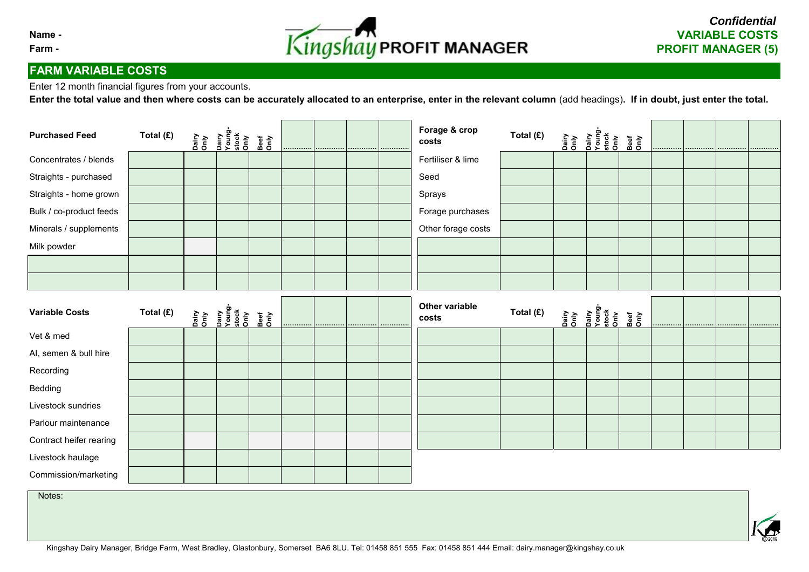

# **FARM VARIABLE COSTS**

Enter 12 month financial figures from your accounts.

**Enter the total value and then where costs can be accurately allocated to an enterprise, enter in the relevant column** (add headings)**. If in doubt, just enter the total.**

| <b>Purchased Feed</b>   | Total (£) | <b>Viuo</b><br>Ouiko | Dairy<br>Young-<br>Stock<br>Only | Nuo<br>Dee   | . 1 |   | <br>. | Forage & crop<br>costs         | Total (£) | nairy<br>Dairy and<br>Dairy stock<br>Stock<br>Stock<br>Stock | Beef<br>Only | . 1 | <br> | . |
|-------------------------|-----------|----------------------|----------------------------------|--------------|-----|---|-------|--------------------------------|-----------|--------------------------------------------------------------|--------------|-----|------|---|
| Concentrates / blends   |           |                      |                                  |              |     |   |       | Fertiliser & lime              |           |                                                              |              |     |      |   |
| Straights - purchased   |           |                      |                                  |              |     |   |       | Seed                           |           |                                                              |              |     |      |   |
| Straights - home grown  |           |                      |                                  |              |     |   |       | Sprays                         |           |                                                              |              |     |      |   |
| Bulk / co-product feeds |           |                      |                                  |              |     |   |       | Forage purchases               |           |                                                              |              |     |      |   |
| Minerals / supplements  |           |                      |                                  |              |     |   |       | Other forage costs             |           |                                                              |              |     |      |   |
| Milk powder             |           |                      |                                  |              |     |   |       |                                |           |                                                              |              |     |      |   |
|                         |           |                      |                                  |              |     |   |       |                                |           |                                                              |              |     |      |   |
|                         |           |                      |                                  |              |     |   |       |                                |           |                                                              |              |     |      |   |
| <b>Variable Costs</b>   | Total (£) | <b>Viuo</b><br>Only  | pairy<br>Young<br>Stock<br>Only  | Beef<br>Only | .   | . | <br>. | <b>Other variable</b><br>costs | Total (£) | nary<br>Only and<br>Dairy<br>Stock<br>Stock<br>Only stock    | Beef<br>Only |     |      |   |
| Vet & med               |           |                      |                                  |              |     |   |       |                                |           |                                                              |              |     |      |   |
| Al, semen & bull hire   |           |                      |                                  |              |     |   |       |                                |           |                                                              |              |     |      |   |
| Recording               |           |                      |                                  |              |     |   |       |                                |           |                                                              |              |     |      |   |
| Bedding                 |           |                      |                                  |              |     |   |       |                                |           |                                                              |              |     |      |   |
| Livestock sundries      |           |                      |                                  |              |     |   |       |                                |           |                                                              |              |     |      |   |
| Parlour maintenance     |           |                      |                                  |              |     |   |       |                                |           |                                                              |              |     |      |   |
| Contract heifer rearing |           |                      |                                  |              |     |   |       |                                |           |                                                              |              |     |      |   |
| Livestock haulage       |           |                      |                                  |              |     |   |       |                                |           |                                                              |              |     |      |   |
| Commission/marketing    |           |                      |                                  |              |     |   |       |                                |           |                                                              |              |     |      |   |
| Notes:                  |           |                      |                                  |              |     |   |       |                                |           |                                                              |              |     |      |   |